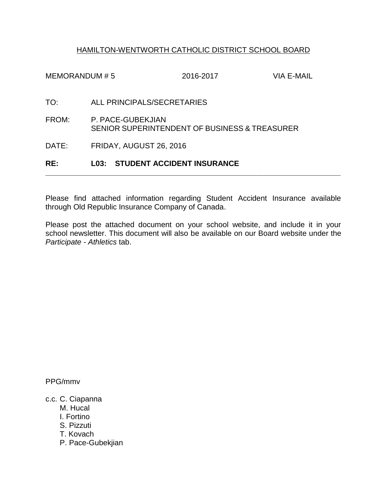## HAMILTON-WENTWORTH CATHOLIC DISTRICT SCHOOL BOARD

| RE:           | <b>L03: STUDENT ACCIDENT INSURANCE</b>                             |           |            |
|---------------|--------------------------------------------------------------------|-----------|------------|
| DATE:         | FRIDAY, AUGUST 26, 2016                                            |           |            |
| FROM:         | P. PACE-GUBEKJIAN<br>SENIOR SUPERINTENDENT OF BUSINESS & TREASURER |           |            |
| TO:           | ALL PRINCIPALS/SECRETARIES                                         |           |            |
| MEMORANDUM #5 |                                                                    | 2016-2017 | VIA E-MAIL |

Please find attached information regarding Student Accident Insurance available through Old Republic Insurance Company of Canada.

**\_\_\_\_\_\_\_\_\_\_\_\_\_\_\_\_\_\_\_\_\_\_\_\_\_\_\_\_\_\_\_\_\_\_\_\_\_\_\_\_\_\_\_\_\_\_\_\_\_\_\_\_\_\_\_\_\_\_\_\_\_\_\_\_\_\_\_\_\_\_**

Please post the attached document on your school website, and include it in your school newsletter. This document will also be available on our Board website under the *Participate - Athletics* tab.

PPG/mmv

c.c. C. Ciapanna

M. Hucal

I. Fortino

S. Pizzuti

T. Kovach

P. Pace-Gubekjian